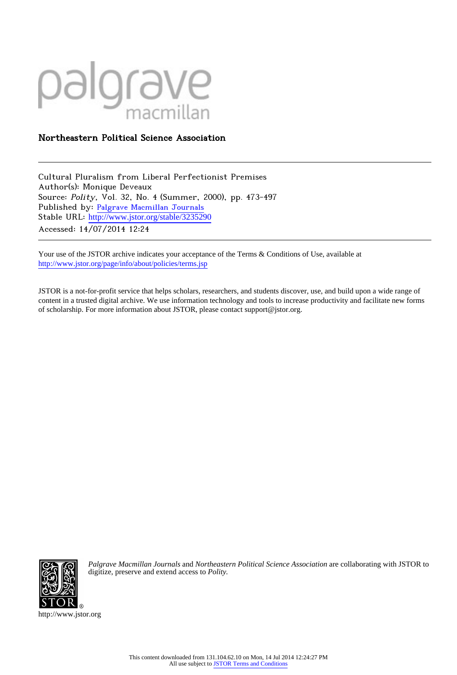# palgrave

# Northeastern Political Science Association

Cultural Pluralism from Liberal Perfectionist Premises Author(s): Monique Deveaux Source: Polity, Vol. 32, No. 4 (Summer, 2000), pp. 473-497 Published by: [Palgrave Macmillan Journals](http://www.jstor.org/action/showPublisher?publisherCode=pal) Stable URL: [http://www.jstor.org/stable/3235290](http://www.jstor.org/stable/3235290?origin=JSTOR-pdf) Accessed: 14/07/2014 12:24

Your use of the JSTOR archive indicates your acceptance of the Terms & Conditions of Use, available at <http://www.jstor.org/page/info/about/policies/terms.jsp>

JSTOR is a not-for-profit service that helps scholars, researchers, and students discover, use, and build upon a wide range of content in a trusted digital archive. We use information technology and tools to increase productivity and facilitate new forms of scholarship. For more information about JSTOR, please contact support@jstor.org.



*Palgrave Macmillan Journals* and *Northeastern Political Science Association* are collaborating with JSTOR to digitize, preserve and extend access to *Polity.*

http://www.jstor.org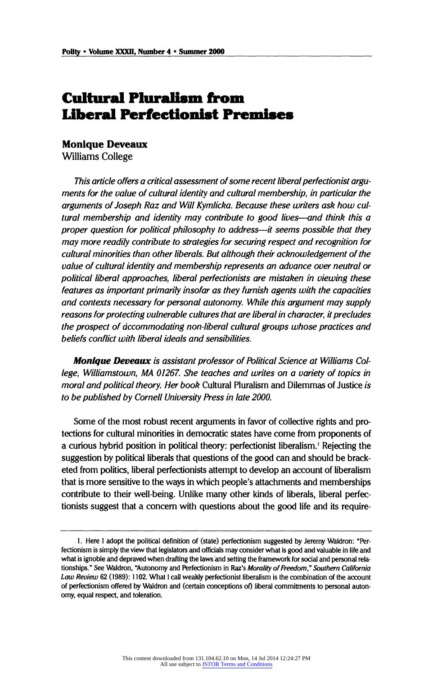# **Cultural Pluralism from Liberal Perfectionist Premises**

## **Monique Deveaux Williams College**

**This article offers a critical assessment of some recent liberal perfectionist arguments for the value of cultural identity and cultural membership, in particular the arguments of Joseph Raz and Will Kymlicka. Because these writers ask how cultural membership and identity may contribute to good lives-and think this a proper question for political philosophy to address-it seems possible that they may more readily contribute to strategies for securing respect and recognition for cultural minorities than other liberals. But although their acknowledgement of the value of cultural identity and membership represents an advance over neutral or political liberal approaches, liberal perfectionists are mistaken in viewing these features as important primarily insofar as they furnish agents with the capacities and contexts necessary for personal autonomy. While this argument may supply reasons for protecting vulnerable cultures that are liberal in character, it precludes the prospect of accommodating non-liberal cultural groups whose practices and beliefs conflict with liberal ideals and sensibilities.** 

**Monique Deveaux is assistant professor of Political Science at Williams College, Williamstown, MA 01267. She teaches and writes on a variety of topics in moral and political theory. Her book Cultural Pluralism and Dilemmas of Justice is to be published by Cornell University Press in late 2000.** 

**Some of the most robust recent arguments in favor of collective rights and protections for cultural minorities in democratic states have come from proponents of a curious hybrid position in political theory: perfectionist liberalism.' Rejecting the suggestion by political liberals that questions of the good can and should be bracketed from politics, liberal perfectionists attempt to develop an account of liberalism that is more sensitive to the ways in which people's attachments and memberships contribute to their well-being. Unlike many other kinds of liberals, liberal perfectionists suggest that a concern with questions about the good life and its require-**

**<sup>1.</sup> Here I adopt the political definition of (state) perfectionism suggested by Jeremy Waldron: "Perfectionism is simply the view that legislators and officials may consider what is good and valuable in life and what is ignoble and depraved when drafting the laws and setting the framework for social and personal relationships." See Waldron, "Autonomy and Perfectionism in Raz's Morality of Freedom," Southern California Law Review 62 (1989): 1102. What I call weakly perfectionist liberalism is the combination of the account of perfectionism offered by Waldron and (certain conceptions of) liberal commitments to personal autonomy, equal respect, and toleration.**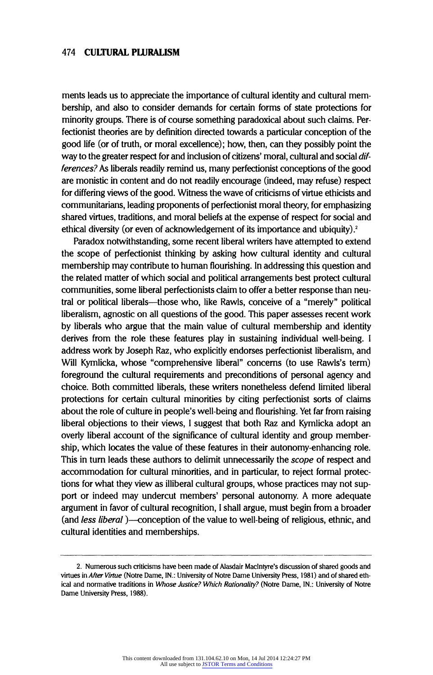**ments leads us to appreciate the importance of cultural identity and cultural membership, and also to consider demands for certain forms of state protections for minority groups. There is of course something paradoxical about such claims. Perfectionist theories are by definition directed towards a particular conception of the good life (or of truth, or moral excellence); how, then, can they possibly point the way to the greater respect for and inclusion of citizens' moral, cultural and social differences? As liberals readily remind us, many perfectionist conceptions of the good are monistic in content and do not readily encourage (indeed, may refuse) respect for differing views of the good. Witness the wave of criticisms of virtue ethicists and communitarians, leading proponents of perfectionist moral theory, for emphasizing shared virtues, traditions, and moral beliefs at the expense of respect for social and ethical diversity (or even of acknowledgement of its importance and ubiquity).2** 

**Paradox notwithstanding, some recent liberal writers have attempted to extend**  the scope of perfectionist thinking by asking how cultural identity and cultural **membership may contribute to human flourishing. In addressing this question and the related matter of which social and political arrangements best protect cultural communities, some liberal perfectionists claim to offer a better response than neu**tral or political liberals—those who, like Rawls, conceive of a "merely" political **liberalism, agnostic on all questions of the good. This paper assesses recent work by liberals who argue that the main value of cultural membership and identity derives from the role these features play in sustaining individual well-being. I address work by Joseph Raz, who explicitly endorses perfectionist liberalism, and Will Kymlicka, whose "comprehensive liberal" concerns (to use Rawls's term) foreground the cultural requirements and preconditions of personal agency and choice. Both committed liberals, these writers nonetheless defend limited liberal protections for certain cultural minorities by citing perfectionist sorts of claims about the role of culture in people's well-being and flourishing. Yet far from raising**  liberal objections to their views, I suggest that both Raz and Kymlicka adopt an **overly liberal account of the significance of cultural identity and group membership, which locates the value of these features in their autonomy-enhancing role. This in turn leads these authors to delimit unnecessarily the scope of respect and accommodation for cultural minorities, and in particular, to reject formal protections for what they view as illiberal cultural groups, whose practices may not support or indeed may undercut members' personal autonomy. A more adequate argument in favor of cultural recognition, I shall argue, must begin from a broader**  (and less liberal )—conception of the value to well-being of religious, ethnic, and **cultural identities and memberships.** 

<sup>2.</sup> Numerous such criticisms have been made of Alasdair MacIntyre's discussion of shared goods and **virtues in After Virtue (Notre Dame, IN.: University of Notre Dame University Press, 1981) and of shared ethical and normative traditions in Whose Justice? Which Rationality? (Notre Dame, IN.: University of Notre Dame University Press, 1988).**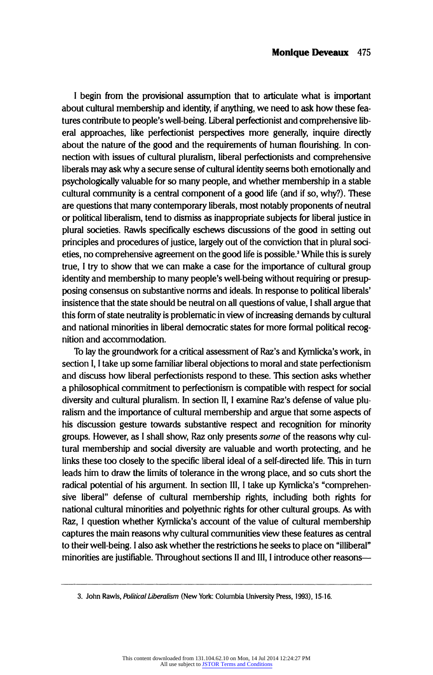**I begin from the provisional assumption that to articulate what is important about cultural membership and identity, if anything, we need to ask how these features contribute to people's well-being. Liberal perfectionist and comprehensive liberal approaches, like perfectionist perspectives more generally, inquire directly about the nature of the good and the requirements of human flourishing. In connection with issues of cultural pluralism, liberal perfectionists and comprehensive liberals may ask why a secure sense of cultural identity seems both emotionally and psychologically valuable for so many people, and whether membership in a stable cultural community is a central component of a good life (and if so, why?). These are questions that many contemporary liberals, most notably proponents of neutral or politicaliberalism, tend to dismiss as inappropriate subjects for liberal justice in plural societies. Rawls specifically eschews discussions of the good in setting out principles and procedures of justice, largely out of the conviction that in plural societies, no comprehensive agreement on the good life is possible.3 While this is surely true, I try to show that we can make a case for the importance of cultural group identity and membership to many people's well-being without requiring or presupposing consensus on substantive norms and ideals. In response to political liberals' insistence that the state should be neutral on all questions of value, I shall argue that this form of state neutrality is problematic in view of increasing demands by cultural and national minorities in liberal democratic states for more formal political recognition and accommodation.** 

**To lay the groundwork for a critical assessment of Raz's and Kymlicka's work, in section I, I take up some familiar liberal objections to moral and state perfectionism and discuss how liberal perfectionists respond to these. This section asks whether**  a philosophical commitment to perfectionism is compatible with respect for social **diversity and cultural pluralism. In section II, I examine Raz's defense of value pluralism and the importance of cultural membership and argue that some aspects of his discussion gesture towards substantive respect and recognition for minority groups. However, as I shall show, Raz only presents some of the reasons why cultural membership and social diversity are valuable and worth protecting, and he links these too closely to the specific liberal ideal of a self-directed life. This in turn leads him to draw the limits of tolerance in the wrong place, and so cuts short the radical potential of his argument. In section III, I take up Kymlicka's "comprehensive liberal" defense of cultural membership rights, including both rights for national cultural minorities and polyethnic rights for other cultural groups. As with Raz, I question whether Kymlicka's account of the value of cultural membership captures the main reasons why cultural communities view these features as central to their well-being. I also ask whether the restrictions he seeks to place on "illiberal" minorities are justifiable. Throughout sections II and III, I introduce other reasons-**

**<sup>3.</sup> John Rawls, Political Liberalism (New York: Columbia University Press, 1993), 15-16.**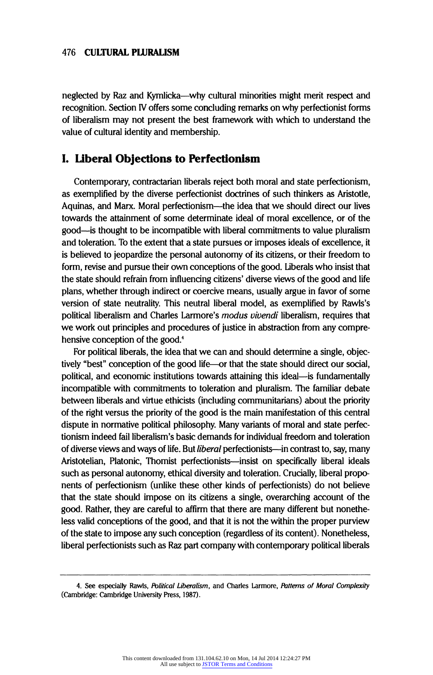**neglected by Raz and Kymlicka-why cultural minorities might merit respect and recognition. Section IV offers some concluding remarks on why perfectionist forms of liberalism may not present the best framework with which to understand the value of cultural identity and membership.** 

# **I. Liberal Objections to Perfectionism**

**Contemporary, contractarian liberals reject both moral and state perfectionism, as exemplified by the diverse perfectionist doctrines of such thinkers as Aristotle,**  Aquinas, and Marx. Moral perfectionism-the idea that we should direct our lives **towards the attainment of some determinate ideal of moral excellence, or of the good-is thought to be incompatible with liberal commitments to value pluralism and toleration. To the extent that a state pursues or imposes ideals of excellence, it is believed to jeopardize the personal autonomy of its citizens, or their freedom to form, revise and pursue their own conceptions of the good. Liberals who insist that the state should refrain from influencing citizens' diverse views of the good and life plans, whether through indirect or coercive means, usually argue in favor of some version of state neutrality. This neutral liberal model, as exemplified by Rawls's political liberalism and Charles Larmore's modus vivendi liberalism, requires that we work out principles and procedures of justice in abstraction from any comprehensive conception of the good.4** 

For political liberals, the idea that we can and should determine a single, objec**tively "best" conception of the good life-or that the state should direct our social, political, and economic institutions towards attaining this ideal-is fundamentally incompatible with commitments to toleration and pluralism. The familiar debate between liberals and virtue ethicists (including communitarians) about the priority of the right versus the priority of the good is the main manifestation of this central dispute in normative political philosophy. Many variants of moral and state perfectionism indeed fail liberalism's basic demands for individual freedom and toleration of diverse views and ways of life. But liberal perfectionists-in contrast to, say, many**  Aristotelian, Platonic, Thomist perfectionists-insist on specifically liberal ideals **such as personal autonomy, ethical diversity and toleration. Crucially, liberal proponents of perfectionism (unlike these other kinds of perfectionists) do not believe that the state should impose on its citizens a single, overarching account of the good. Rather, they are careful to affirm that there are many different but nonetheless valid conceptions of the good, and that it is not the within the proper purview of the state to impose any such conception (regardless of its content). Nonetheless, liberal perfectionists such as Raz part company with contemporary political liberals** 

**<sup>4.</sup> See especially Rawls, Political Liberalism, and Charles Larmore, Patterns of Moral Complexity (Cambridge: Cambridge University Press, 1987).**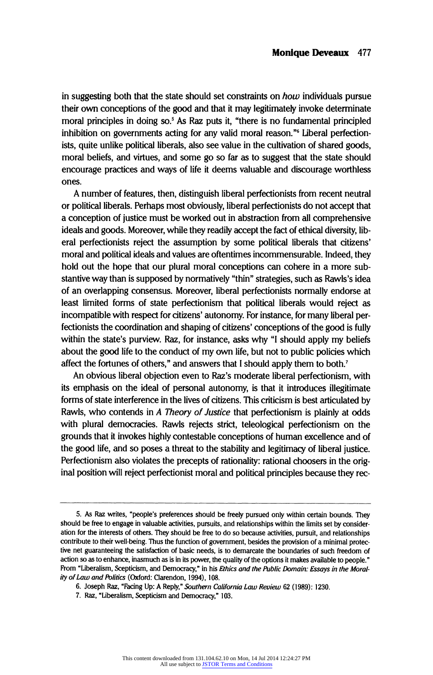**in suggesting both that the state should set constraints on how individuals pursue their own conceptions of the good and that it may legitimately invoke determinate moral principles in doing so.5 As Raz puts it, "there is no fundamental principled inhibition on governments acting for any valid moral reason."6 Liberal perfection**ists, quite unlike political liberals, also see value in the cultivation of shared goods, **moral beliefs, and virtues, and some go so far as to suggest that the state should encourage practices and ways of life it deems valuable and discourage worthless ones.** 

**A number of features, then, distinguish liberal perfectionists from recent neutral or political liberals. Perhaps most obviously, liberal perfectionists do not accept that a conception of justice must be worked out in abstraction from all comprehensive ideals and goods. Moreover, while they readily accept the fact of ethical diversity, liberal perfectionists reject the assumption by some political liberals that citizens' moral and political ideals and values are oftentimes incommensurable. Indeed, they hold out the hope that our plural moral conceptions can cohere in a more substantive way than is supposed by normatively "thin" strategies, such as Rawls's idea of an overlapping consensus. Moreover, liberal perfectionists normally endorse at least limited forms of state perfectionism that political liberals would reject as incompatible with respect for citizens' autonomy. For instance, for many liberal perfectionists the coordination and shaping of citizens' conceptions of the good is fully within the state's purview. Raz, for instance, asks why "I should apply my beliefs about the good life to the conduct of my own life, but not to public policies which affect the fortunes of others," and answers that I should apply them to both.7** 

**An obvious liberal objection even to Raz's moderate liberal perfectionism, with its emphasis on the ideal of personal autonomy, is that it introduces illegitimate forms of state interference in the lives of citizens. This criticism is best articulated by Rawls, who contends in A Theory of Justice that perfectionism is plainly at odds with plural democracies. Rawls rejects strict, teleological perfectionism on the grounds that it invokes highly contestable conceptions of human excellence and of the good life, and so poses a threat to the stability and legitimacy of liberal justice. Perfectionism also violates the precepts of rationality: rational choosers in the original position will reject perfectionist moral and political principles because they rec-**

**<sup>5.</sup> As Raz writes, "people's preferences should be freely pursued only within certain bounds. They should be free to engage in valuable activities, pursuits, and relationships within the limits set by consideration for the interests of others. They should be free to do so because activities, pursuit, and relationships contribute to their well-being. Thus the function of government, besides the provision of a minimal protective net guaranteeing the satisfaction of basic needs, is to demarcate the boundaries of such freedom of action so as to enhance, inasmuch as is in its power, the quality of the options it makes available to people."**  From "Liberalism, Scepticism, and Democracy," in his Ethics and the Public Domain: Essays in the Moral**ity of Law and Politics (Oxford: Clarendon, 1994), 108.** 

**<sup>6.</sup> Joseph Raz, "Facing Up: A Reply," Southern California Law Review 62 (1989): 1230.** 

**<sup>7.</sup> Raz, "Liberalism, Scepticism and Democracy," 103.**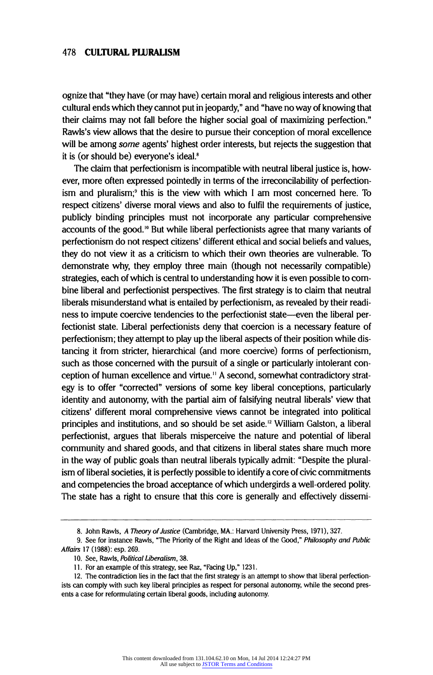**ognize that "they have (or may have) certain moral and religious interests and other cultural ends which they cannot put in jeopardy," and "have no way of knowing that their claims may not fall before the higher social goal of maximizing perfection." Rawls's view allows that the desire to pursue their conception of moral excellence will be among some agents' highest order interests, but rejects the suggestion that it is (or should be) everyone's ideal.8** 

The claim that perfectionism is incompatible with neutral liberal justice is, how**ever, more often expressed pointedly in terms of the irreconcilability of perfectionism and pluralism;9 this is the view with which I am most concerned here. To respect citizens' diverse moral views and also to fulfil the requirements of justice, publicly binding principles must not incorporate any particular comprehensive accounts of the good.'0 But while liberal perfectionists agree that many variants of perfectionism do not respect citizens' different ethical and social beliefs and values, they do not view it as a criticism to which their own theories are vulnerable. To demonstrate why, they employ three main (though not necessarily compatible) strategies, each of which is central to understanding how it is even possible to combine liberal and perfectionist perspectives. The first strategy is to claim that neutral liberals misunderstand what is entailed by perfectionism, as revealed by their readiness to impute coercive tendencies to the perfectionist state-even the liberal perfectionist state. Liberal perfectionists deny that coercion is a necessary feature of perfectionism; they attempt to play up the liberal aspects of their position while distancing it from stricter, hierarchical (and more coercive) forms of perfectionism, such as those concerned with the pursuit of a single or particularly intolerant conception of human excellence and virtue." A second, somewhat contradictory strategy is to offer "corrected" versions of some key liberal conceptions, particularly identity and autonomy, with the partial aim of falsifying neutral liberals' view that citizens' different moral comprehensive views cannot be integrated into political principles and institutions, and so should be set aside.'2 William Galston, a liberal perfectionist, argues that liberals misperceive the nature and potential of liberal community and shared goods, and that citizens in liberal states share much more in the way of public goals than neutraliberals typically admit: "Despite the pluralism of liberal societies, it is perfectly possible to identify a core of civic commitments and competencies the broad acceptance of which undergirds a well-ordered polity. The state has a right to ensure that this core is generally and effectively dissemi-**

**<sup>8.</sup> John Rawls, A Theory of Justice (Cambridge, MA.: Harvard University Press, 1971), 327.** 

**<sup>9.</sup> See for instance Rawls, "The Priority of the Right and Ideas of the Good," Philosophy and Public Affairs 17 (1988): esp. 269.** 

**<sup>10.</sup> See, Rawls, Political Liberalism, 38.** 

**<sup>11.</sup> For an example of this strategy, see Raz, "Facing Up," 1231.** 

**<sup>12.</sup> The contradiction lies in the fact that the first strategy is an attempt to show that liberal perfectionists can comply with such key liberal principles as respect for personal autonomy, while the second presents a case for reformulating certain liberal goods, including autonomy.**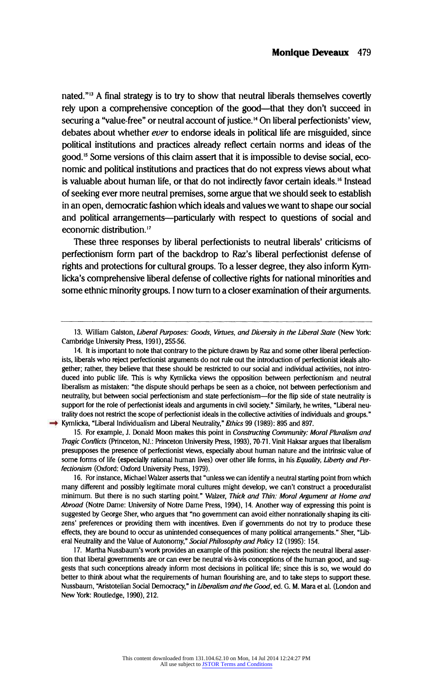**nated."'3 A final strategy is to try to show that neutral liberals themselves covertly**  rely upon a comprehensive conception of the good—that they don't succeed in **securing a "value-free" or neutral account of justice.'4 On liberal perfectionists' view, debates about whether ever to endorse ideals in political life are misguided, since political institutions and practices already reflect certain norms and ideas of the good.'5 Some versions of this claim assert that it is impossible to devise social, economic and political institutions and practices that do not express views about what is valuable about human life, or that do not indirectly favor certain ideals.'6 Instead of seeking ever more neutral premises, some argue that we should seek to establish in an open, democratic fashion which ideals and values we want to shape our social and political arrangements-particularly with respect to questions of social and economic distribution.'7** 

**These three responses by liberal perfectionists to neutral liberals' criticisms of perfectionism form part of the backdrop to Raz's liberal perfectionist defense of rights and protections for cultural groups. To a lesser degree, they also inform Kymlicka's comprehensive liberal defense of collective rights for national minorities and some ethnic minority groups. I now turn to a closer examination of their arguments.** 

**15. For example, J. Donald Moon makes this point in Constructing Community: Moral Pluralism and Tragic Conflicts (Princeton, NJ.: Princeton University Press, 1993), 70-71. Vinit Haksar argues that liberalism presupposes the presence of perfectionist views, especially about human nature and the intrinsic value of**  some forms of life (especially rational human lives) over other life forms, in his Equality, Liberty and Per**fectionism (Oxford: Oxford University Press, 1979).** 

**16. For instance, Michael Walzer asserts that "unless we can identify a neutral starting point from which many different and possibly legitimate moral cultures might develop, we can't construct a proceduralist minimum. But there is no such starting point." Walzer, Thick and Thin: Moral Argument at Home and Abroad (Notre Dame: University of Notre Dame Press, 1994), 14. Another way of expressing this point is suggested by George Sher, who argues that "no government can avoid either nonrationally shaping its citizens' preferences or providing them with incentives. Even if governments do not try to produce these effects, they are bound to occur as unintended consequences of many political arrangements." Sher, "Liberal Neutrality and the Value of Autonomy," Social Philosophy and Policy 12 (1995): 154.** 

17. Martha Nussbaum's work provides an example of this position: she rejects the neutral liberal asser**tion that liberal governments are or can ever be neutral vis-a-vis conceptions of the human good, and suggests that such conceptions already inform most decisions in politicalife; since this is so, we would do better to think about what the requirements of human flourishing are, and to take steps to support these. Nussbaum, "Aristotelian Social Democracy," in Liberalism and the Good, ed. G. M. Mara et al. (London and New York: Routledge, 1990), 212.** 

**<sup>13.</sup> William Galston, Liberal Purposes: Goods, Virtues, and Diversity in the Liberal State (New York: Cambridge University Press, 1991), 255-56.** 

**<sup>14.</sup> It is important to note that contrary to the picture drawn by Raz and some other liberal perfectionists, liberals who reject perfectionist arguments do not rule out the introduction of perfectionist ideals altogether; rather, they believe that these should be restricted to our social and individual activities, not introduced into public life. This is why Kymlicka views the opposition between perfectionism and neutral liberalism as mistaken: "the dispute should perhaps be seen as a choice, not between perfectionism and neutrality, but between social perfectionism and state perfectionism-for the flip side of state neutrality is support for the role of perfectionist ideals and arguments in civil society." Similarly, he writes, "Liberal neutrality does not restrict the scope of perfectionist ideals in the collective activities of individuals and groups." Kymlicka, "Liberal Individualism and Liberal Neutrality," Ethics 99 (1989): 895 and 897.**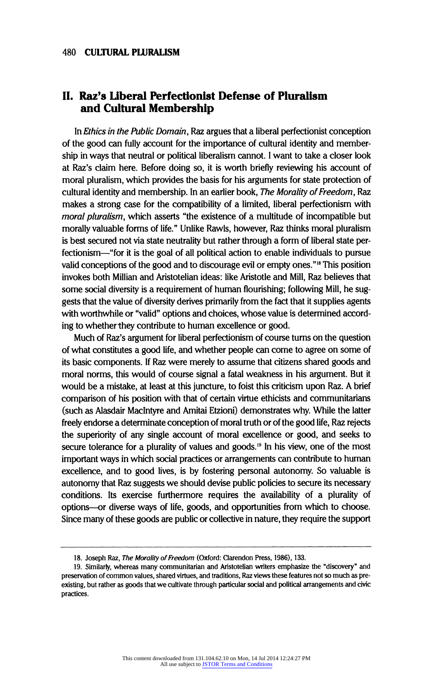# **II. Raz's Liberal Perfectionist Defense of Pluralism and Cultural Membership**

**In Ethics in the Public Domain, Raz argues that a liberal perfectionist conception of the good can fully account for the importance of cultural identity and membership in ways that neutral or political liberalism cannot. I want to take a closer look at Raz's claim here. Before doing so, it is worth briefly reviewing his account of moral pluralism, which provides the basis for his arguments for state protection of cultural identity and membership. In an earlier book, The Morality of Freedom, Raz makes a strong case for the compatibility of a limited, liberal perfectionism with moral pluralism, which asserts "the existence of a multitude of incompatible but morally valuable forms of life." Unlike Rawls, however, Raz thinks moral pluralism is best secured not via state neutrality but rather through a form of liberal state perfectionism-"for it is the goal of all political action to enable individuals to pursue valid conceptions of the good and to discourage evil or empty ones."'8 This position invokes both Millian and Aristotelian ideas: like Aristotle and Mill, Raz believes that some social diversity is a requirement of human flourishing; following Mill, he suggests that the value of diversity derives primarily from the fact that it supplies agents with worthwhile or "valid" options and choices, whose value is determined accord**ing to whether they contribute to human excellence or good.

**Much of Raz's argument for liberal perfectionism of course turns on the question of what constitutes a good life, and whether people can come to agree on some of its basic components. If Raz were merely to assume that citizens shared goods and moral norms, this would of course signal a fatal weakness in his argument. But it would be a mistake, at least at this juncture, to foist this criticism upon Raz. A brief comparison of his position with that of certain virtue ethicists and communitarians (such as Alasdair Maclntyre and Amitai Etzioni) demonstrates why. While the latter freely endorse a determinate conception of moral truth or of the good life, Raz rejects the superiority of any single account of moral excellence or good, and seeks to secure tolerance for a plurality of values and goods.'9 In his view, one of the most important ways in which social practices or arrangements can contribute to human excellence, and to good lives, is by fostering personal autonomy. So valuable is autonomy that Raz suggests we should devise public policies to secure its necessary conditions. Its exercise furthermore requires the availability of a plurality of options-or diverse ways of life, goods, and opportunities from which to choose. Since many of these goods are public or collective in nature, they require the support** 

**<sup>18.</sup> Joseph Raz, The Morality of Freedom (Oxford: Clarendon Press, 1986), 133.** 

**<sup>19.</sup> Similarly, whereas many communitarian and Aristotelian writers emphasize the "discovery" and preservation of common values, shared virtues, and traditions, Raz views these features not so much as preexisting, but rather as goods that we cultivate through particular social and political arrangements and civic practices.**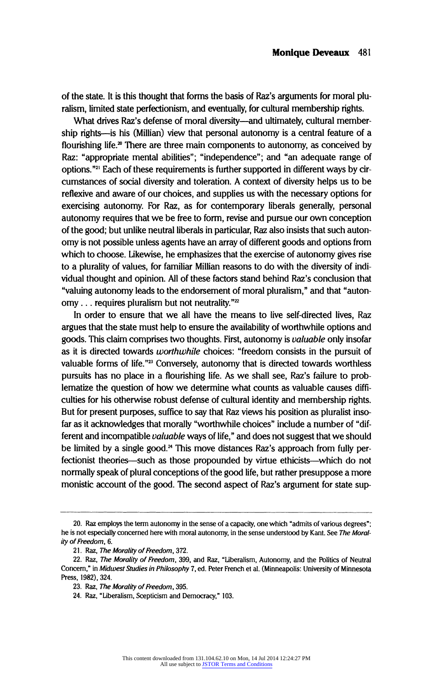**of the state. It is this thought that forms the basis of Raz's arguments for moral pluralism, limited state perfectionism, and eventually, for cultural membership rights.** 

What drives Raz's defense of moral diversity-and ultimately, cultural member**ship rights-is his (Millian) view that personal autonomy is a central feature of a flourishing life.2 There are three main components to autonomy, as conceived by Raz: "appropriate mental abilities"; "independence"; and "an adequate range of options."2 Each of these requirements is further supported in different ways by circumstances of social diversity and toleration. A context of diversity helps us to be reflexive and aware of our choices, and supplies us with the necessary options for exercising autonomy. For Raz, as for contemporary liberals generally, personal autonomy requires that we be free to form, revise and pursue our own conception**  of the good; but unlike neutral liberals in particular, Raz also insists that such auton**omy is not possible unless agents have an array of different goods and options from which to choose. Likewise, he emphasizes that the exercise of autonomy gives rise to a plurality of values, for familiar Millian reasons to do with the diversity of individual thought and opinion. All of these factors stand behind Raz's conclusion that "valuing autonomy leads to the endorsement of moral pluralism," and that "autonomy ... requires pluralism but not neutrality."2** 

**In order to ensure that we all have the means to live self-directed lives, Raz argues that the state must help to ensure the availability of worthwhile options and goods. This claim comprises two thoughts. First, autonomy is valuable only insofar as it is directed towards worthwhile choices: "freedom consists in the pursuit of valuable forms of life."23 Conversely, autonomy that is directed towards worthless pursuits has no place in a flourishing life. As we shall see, Raz's failure to problematize the question of how we determine what counts as valuable causes difficulties for his otherwise robust defense of cultural identity and membership rights. But for present purposes, suffice to say that Raz views his position as pluralist insofar as it acknowledges that morally "worthwhile choices" include a number of "dif**ferent and incompatible *valuable* ways of life," and does not suggest that we should be limited by a single good.<sup>24</sup> This move distances Raz's approach from fully per**fectionist theories-such as those propounded by virtue ethicists-which do not normally speak of plural conceptions of the good life, but rather presuppose a more monistic account of the good. The second aspect of Raz's argument for state sup-**

**<sup>20.</sup> Raz employs the term autonomy in the sense of a capacity, one which "admits of various degrees"; he is not especially concerned here with moral autonomy, in the sense understood by Kant. See The Morality of Freedom, 6.** 

**<sup>21.</sup> Raz, The Morality of Freedom, 372.** 

**<sup>22.</sup> Raz, The Morality of Freedom, 399, and Raz, "Liberalism, Autonomy, and the Politics of Neutral Concern," in Midwest Studies in Philosophy 7, ed. Peter French et al. (Minneapolis: University of Minnesota Press, 1982), 324.** 

**<sup>23.</sup> Raz, The Morality of Freedom, 395.** 

**<sup>24.</sup> Raz, "Liberalism, Scepticism and Democracy," 103.**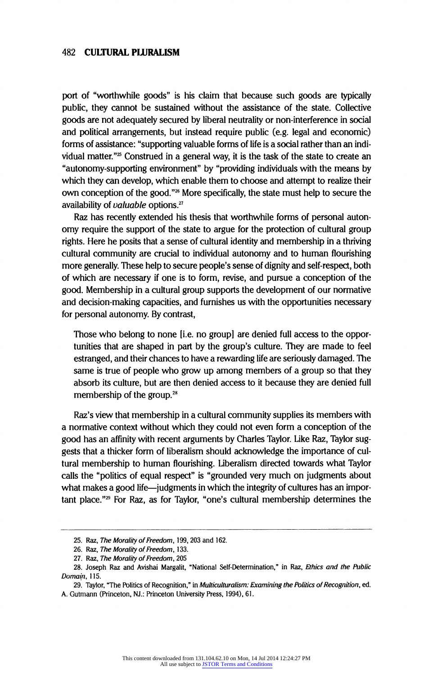**port of "worthwhile goods" is his claim that because such goods are typically public, they cannot be sustained without the assistance of the state. Collective goods are not adequately secured by liberal neutrality or non-interference in social and political arrangements, but instead require public (e.g. legal and economic) forms of assistance: "supporting valuable forms of life is a social rather than an individual matter."2 Construed in a general way, it is the task of the state to create an "autonomy-supporting environment" by "providing individuals with the means by which they can develop, which enable them to choose and attempt to realize their own conception of the good."26 More specifically, the state must help to secure the availability of valuable options.27** 

**Raz has recently extended his thesis that worthwhile forms of personal autonomy require the support of the state to argue for the protection of cultural group rights. Here he posits that a sense of cultural identity and membership in a thriving cultural community are crucial to individual autonomy and to human flourishing more generally. These help to secure people's sense of dignity and self-respect, both of which are necessary if one is to form, revise, and pursue a conception of the good. Membership in a cultural group supports the development of our normative and decision-making capacities, and furnishes us with the opportunities necessary for personal autonomy. By contrast,** 

**Those who belong to none [i.e. no group] are denied full access to the opportunities that are shaped in part by the group's culture. They are made to feel estranged, and their chances to have a rewarding life are seriously damaged. The same is true of people who grow up among members of a group so that they absorb its culture, but are then denied access to it because they are denied full membership of the group.28** 

**Raz's view that membership in a cultural community supplies its members with a normative context without which they could not even form a conception of the good has an affinity with recent arguments by Charles Taylor. Like Raz, Taylor suggests that a thicker form of liberalism should acknowledge the importance of cultural membership to human flourishing. Liberalism directed towards what Taylor calls the "politics of equal respect" is "grounded very much on judgments about**  what makes a good life—judgments in which the integrity of cultures has an impor**tant place."2 For Raz, as for Taylor, "one's cultural membership determines the** 

**<sup>25.</sup> Raz, The Morality of Freedom, 199, 203 and 162.** 

**<sup>26.</sup> Raz, The Morality of Freedom, 133.** 

**<sup>27.</sup> Raz, The Morality of Freedom, 205** 

**<sup>28.</sup> Joseph Raz and Avishai Margalit, "National Self-Determination," in Raz, Ethics and the Public Domain, 115.** 

**<sup>29.</sup> Taylor, "The Politics of Recognition," in Multiculturalism: Examining the Politics of Recognition, ed. A. Gutmann (Princeton, NJ.: Princeton University Press, 1994), 61.**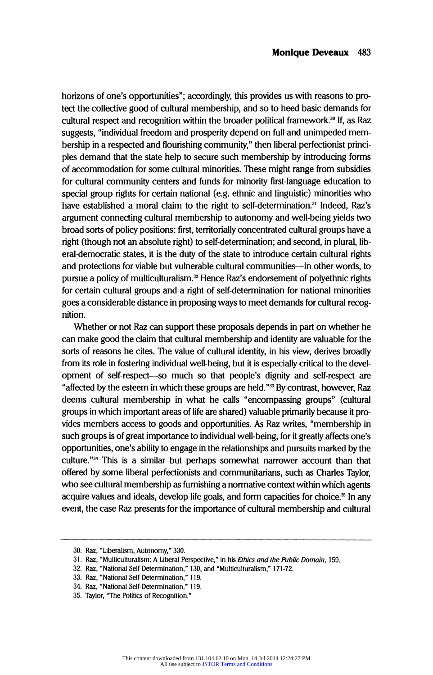**horizons of one's opportunities"; accordingly, this provides us with reasons to protect the collective good of cultural membership, and so to heed basic demands for cultural respect and recognition within the broader political framework.30 If, as Raz suggests, "individual freedom and prosperity depend on full and unimpeded membership in a respected and flourishing community," then liberal perfectionist principles demand that the state help to secure such membership by introducing forms of accommodation for some cultural minorities. These might range from subsidies for cultural community centers and funds for minority first-language education to special group rights for certain national (e.g. ethnic and linguistic) minorities who have established a moral claim to the right to self-determination.3' Indeed, Raz's argument connecting cultural membership to autonomy and well-being yields two broad sorts of policy positions: first, territorially concentrated cultural groups have a right (though not an absolute right) to self-determination; and second, in plural, liberal-democratic states, it is the duty of the state to introduce certain cultural rights and protections for viable but vulnerable cultural communities-in other words, to pursue a policy of multiculturalism.32 Hence Raz's endorsement of polyethnic rights for certain cultural groups and a right of self-determination for national minorities goes a considerable distance in proposing ways to meet demands for cultural recognition.** 

**Whether or not Raz can support these proposals depends in part on whether he can make good the claim that cultural membership and identity are valuable for the sorts of reasons he cites. The value of cultural identity, in his view, derives broadly from its role in fostering individual well-being, but it is especially critical to the development of self-respect-so much so that people's dignity and self-respect are "affected by the esteem in which these groups are held."33 By contrast, however, Raz deems cultural membership in what he calls "encompassing groups" (cultural groups in which important areas of life are shared) valuable primarily because it provides members access to goods and opportunities. As Raz writes, "membership in such groups is of great importance to individual well-being, for it greatly affects one's opportunities, one's ability to engage in the relationships and pursuits marked by the culture."34 This is a similar but perhaps somewhat narrower account than that offered by some liberal perfectionists and communitarians, such as Charles Taylor, who see cultural membership as furnishing a normative context within which agents acquire values and ideals, develop life goals, and form capacities for choice.3 In any event, the case Raz presents for the importance of cultural membership and cultural** 

**<sup>30.</sup> Raz, "Liberalism, Autonomy," 330.** 

**<sup>31.</sup> Raz, "Multiculturalism: A Liberal Perspective," in his Ethics and the Public Domain, 159.** 

**<sup>32.</sup> Raz, "National Self-Determination," 130, and "Multiculturalism," 171-72.** 

**<sup>33.</sup> Raz, "National Self-Determination," 119.** 

**<sup>34.</sup> Raz, "National Self-Determination," 119.** 

**<sup>35.</sup> Taylor, "The Politics of Recognition."**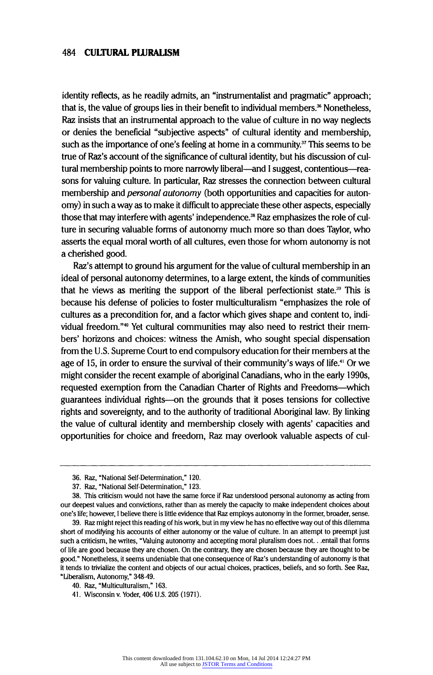**identity reflects, as he readily admits, an "instrumentalist and pragmatic" approach;**  that is, the value of groups lies in their benefit to individual members.<sup>36</sup> Nonetheless, **Raz insists that an instrumental approach to the value of culture in no way neglects or denies the beneficial "subjective aspects" of cultural identity and membership, such as the importance of one's feeling at home in a community.37 This seems to be true of Raz's account of the significance of cultural identity, but his discussion of cultural membership points to more narrowly liberal-and I suggest, contentious-reasons for valuing culture. In particular, Raz stresses the connection between cultural membership and personal autonomy (both opportunities and capacities for autonomy) in such a way as to make it difficult to appreciate these other aspects, especially**  those that may interfere with agents' independence.<sup>38</sup> Raz emphasizes the role of cul**ture in securing valuable forms of autonomy much more so than does Taylor, who asserts the equal moral worth of all cultures, even those for whom autonomy is not a cherished good.** 

**Raz's attempt to ground his argument for the value of cultural membership in an ideal of personal autonomy determines, to a large extent, the kinds of communities that he views as meriting the support of the liberal perfectionist state.39 This is because his defense of policies to foster multiculturalism "emphasizes the role of cultures as a precondition for, and a factor which gives shape and content to, indi**vidual freedom."<sup>40</sup> Yet cultural communities may also need to restrict their mem**bers' horizons and choices: witness the Amish, who sought special dispensation**  from the U.S. Supreme Court to end compulsory education for their members at the age of 15, in order to ensure the survival of their community's ways of life.<sup>41</sup> Or we **might consider the recent example of aboriginal Canadians, who in the early 1990s, requested exemption from the Canadian Charter of Rights and Freedoms-which guarantees individual rights-on the grounds that it poses tensions for collective rights and sovereignty, and to the authority of traditional Aboriginal law. By linking the value of cultural identity and membership closely with agents' capacities and opportunities for choice and freedom, Raz may overlook valuable aspects of cul-**

**<sup>36.</sup> Raz, "National Self-Determination," 120.** 

**<sup>37.</sup> Raz, "National Self-Determination," 123.** 

**<sup>38.</sup> This criticism would not have the same force if Raz understood personal autonomy as acting from our deepest values and convictions, rather than as merely the capacity to make independent choices about one's life; however, I believe there is little evidence that Raz employs autonomy in the former, broader, sense.** 

**<sup>39.</sup> Raz might reject this reading of his work, but in my view he has no effective way out of this dilemma short of modifying his accounts of either autonomy or the value of culture. In an attempt to preempt just**  such a criticism, he writes, "Valuing autonomy and accepting moral pluralism does not. . .entail that forms **of life are good because they are chosen. On the contrary, they are chosen because they are thought to be good." Nonetheless, it seems undeniable that one consequence of Raz's understanding of autonomy is that it tends to trivialize the content and objects of our actual choices, practices, beliefs, and so forth. See Raz, "Liberalism, Autonomy," 348-49.** 

**<sup>40.</sup> Raz, "Multiculturalism," 163.** 

**<sup>41.</sup> Wisconsin v. Yoder, 406 U.S. 205 (1971).**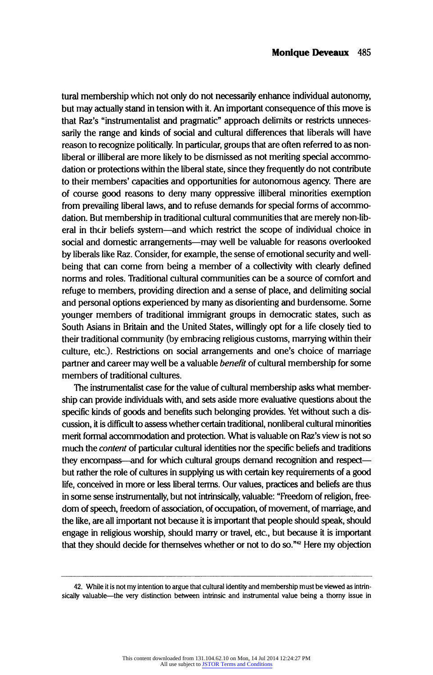**tural membership which not only do not necessarily enhance individual autonomy, but may actually stand in tension with it. An important consequence of this move is that Raz's "instrumentalist and pragmatic" approach delimits or restricts unnecessarily the range and kinds of social and cultural differences that liberals will have reason to recognize politically. In particular, groups that are often referred to as nonliberal or illiberal are more likely to be dismissed as not meriting special accommodation or protections within the liberal state, since they frequently do not contribute to their members' capacities and opportunities for autonomous agency. There are of course good reasons to deny many oppressive illiberal minorities exemption from prevailing liberal laws, and to refuse demands for special forms of accommodation. But membership in traditional cultural communities that are merely non-lib**eral in their beliefs system—and which restrict the scope of individual choice in **social and domestic arrangements-may well be valuable for reasons overlooked by liberals like Raz. Consider, for example, the sense of emotional security and wellbeing that can come from being a member of a collectivity with clearly defined norms and roles. Traditional cultural communities can be a source of comfort and refuge to members, providing direction and a sense of place, and delimiting social and personal options experienced by many as disorienting and burdensome. Some younger members of traditional immigrant groups in democratic states, such as South Asians in Britain and the United States, willingly opt for a life closely tied to their traditional community (by embracing religious customs, marrying within their culture, etc.). Restrictions on social arrangements and one's choice of marriage partner and career may well be a valuable benefit of cultural membership for some members of traditional cultures.** 

**The instrumentalist case for the value of cultural membership asks what membership can provide individuals with, and sets aside more evaluative questions about the specific kinds of goods and benefits such belonging provides. Yet without such a discussion, it is difficult to assess whether certain traditional, nonliberal cultural minorities merit formal accommodation and protection. What is valuable on Raz's view is not so much the content of particular cultural identities nor the specific beliefs and traditions they encompass-and for which cultural groups demand recognition and respectbut rather the role of cultures in supplying us with certain key requirements of a good life, conceived in more or less liberal terms. Our values, practices and beliefs are thus in some sense instrumentally, but not intrinsically, valuable: "Freedom of religion, freedom of speech, freedom of association, of occupation, of movement, of marriage, and the like, are all important not because it is important that people should speak, should engage in religious worship, should marry or travel, etc., but because it is important that they should decide for themselves whether or not to do so."42 Here my objection** 

**<sup>42.</sup> While it is not my intention to argue that cultural identity and membership must be viewed as intrinsically valuable-the very distinction between intrinsic and instrumental value being a thorny issue in**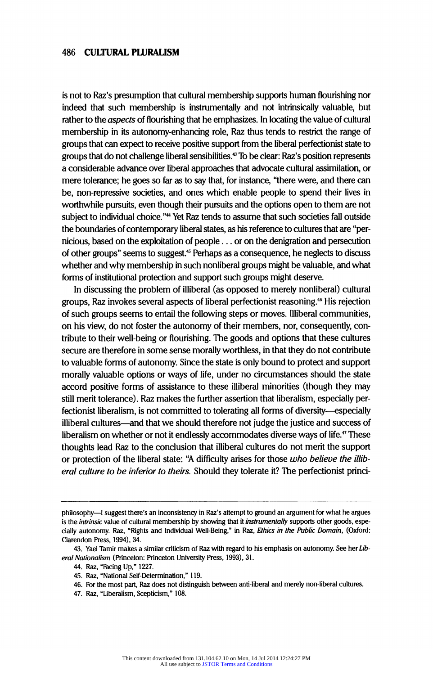**is not to Raz's presumption that cultural membership supports human flourishing nor indeed that such membership is instrumentally and not intrinsically valuable, but rather to the aspects of flourishing that he emphasizes. In locating the value of cultural membership in its autonomy-enhancing role, Raz thus tends to restrict the range of groups that can expect to receive positive support from the liberal perfectionist state to groups that do not challenge liberal sensibilities.4 To be clear: Raz's position represents a considerable advance over liberal approaches that advocate cultural assimilation, or mere tolerance; he goes so far as to say that, for instance, "there were, and there can be, non-repressive societies, and ones which enable people to spend their lives in worthwhile pursuits, even though their pursuits and the options open to them are not subject to individual choice."4 Yet Raz tends to assume that such societies fall outside the boundaries of contemporary liberal states, as his reference to cultures that are "pernicious, based on the exploitation of people... or on the denigration and persecution of other groups" seems to suggest.45 Perhaps as a consequence, he neglects to discuss whether and why membership in such nonliberal groups might be valuable, and what forms of institutional protection and support such groups might deserve.** 

**In discussing the problem of illiberal (as opposed to merely nonliberal) cultural groups, Raz invokes several aspects of liberal perfectionist reasoning.46 His rejection of such groups seems to entail the following steps or moves. Illiberal communities, on his view, do not foster the autonomy of their members, nor, consequently, contribute to their well-being or flourishing. The goods and options that these cultures secure are therefore in some sense morally worthless, in that they do not contribute to valuable forms of autonomy. Since the state is only bound to protect and support**  morally valuable options or ways of life, under no circumstances should the state **accord positive forms of assistance to these illiberal minorities (though they may still merit tolerance). Raz makes the further assertion that liberalism, especially perfectionist liberalism, is not committed to tolerating all forms of diversity-especially illiberal cultures-and that we should therefore not judge the justice and success of liberalism on whether or not it endlessly accommodates diverse ways of life.47 These thoughts lead Raz to the conclusion that illiberal cultures do not merit the support or protection of the liberal state: "A difficulty arises for those who believe the illiberal culture to be inferior to theirs. Should they tolerate it? The perfectionist princi-**

**47. Raz, "Liberalism, Scepticism," 108.** 

**philosophy-I suggest there's an inconsistency in Raz's attempt to ground an argument for what he argues**  is the *intrinsic* value of cultural membership by showing that it *instrumentally* supports other goods, espe**cially autonomy. Raz, "Rights and Individual Well-Being," in Raz, Ethics in the Public Domain, (Oxford: Clarendon Press, 1994), 34.** 

**<sup>43.</sup> Yael Tamir makes a similar criticism of Raz with regard to his emphasis on autonomy. See her Liberal Nationalism (Princeton: Princeton University Press, 1993), 31.** 

**<sup>44.</sup> Raz, "Facing Up," 1227.** 

**<sup>45.</sup> Raz, "National Self-Determination," 119.** 

<sup>46.</sup> For the most part, Raz does not distinguish between anti-liberal and merely non-liberal cultures.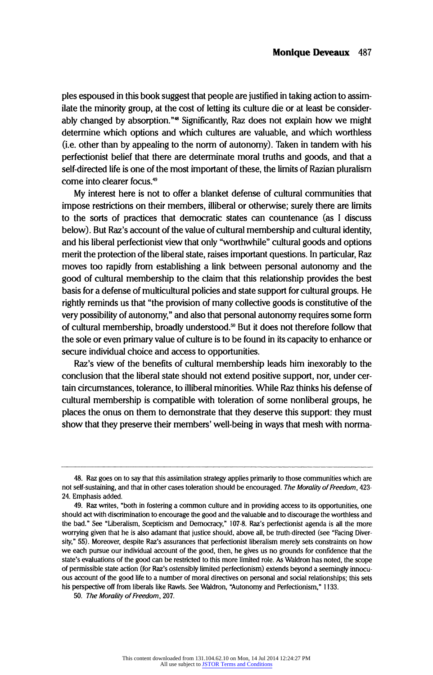**pies espoused in this book suggest that people are justified in taking action to assimilate the minority group, at the cost of letting its culture die or at least be considerably changed by absorption."48 Significantly, Raz does not explain how we might determine which options and which cultures are valuable, and which worthless (i.e. other than by appealing to the norm of autonomy). Taken in tandem with his perfectionist belief that there are determinate moral truths and goods, and that a self-directed life is one of the most important of these, the limits of Razian pluralism come into clearer focus.49** 

**My interest here is not to offer a blanket defense of cultural communities that impose restrictions on their members, illiberal or otherwise; surely there are limits to the sorts of practices that democratic states can countenance (as I discuss below). But Raz's account of the value of cultural membership and cultural identity, and his liberal perfectionist view that only "worthwhile" cultural goods and options merit the protection of the liberal state, raises important questions. In particular, Raz moves too rapidly from establishing a link between personal autonomy and the good of cultural membership to the claim that this relationship provides the best basis for a defense of multicultural policies and state support for cultural groups. He rightly reminds us that "the provision of many collective goods is constitutive of the very possibility of autonomy," and also that personal autonomy requires some form of cultural membership, broadly understood.50 But it does not therefore follow that the sole or even primary value of culture is to be found in its capacity to enhance or secure individual choice and access to opportunities.** 

**Raz's view of the benefits of cultural membership leads him inexorably to the conclusion that the liberal state should not extend positive support, nor, under certain circumstances, tolerance, to illiberal minorities. While Raz thinks his defense of cultural membership is compatible with toleration of some nonliberal groups, he places the onus on them to demonstrate that they deserve this support: they must show that they preserve their members' well-being in ways that mesh with norma-**

**<sup>48.</sup> Raz goes on to say that this assimilation strategy applies primarily to those communities which are not self-sustaining, and that in other cases toleration should be encouraged. The Morality of Freedom, 423- 24. Emphasis added.** 

**<sup>49.</sup> Raz writes, "both in fostering a common culture and in providing access to its opportunities, one**  should act with discrimination to encourage the good and the valuable and to discourage the worthless and **the bad." See "Liberalism, Scepticism and Democracy," 107-8. Raz's perfectionist agenda is all the more**  worrying given that he is also adamant that justice should, above all, be truth-directed (see "Facing Diver**sity," 55). Moreover, despite Raz's assurances that perfectionist liberalism merely sets constraints on how we each pursue our individual account of the good, then, he gives us no grounds for confidence that the state's evaluations of the good can be restricted to this more limited role. As Waldron has noted, the scope of permissible state action (for Raz's ostensibly limited perfectionism) extends beyond a seemingly innocuous account of the good life to a number of moral directives on personal and social relationships; this sets his perspective off from liberals like Rawls. See Waldron, "Autonomy and Perfectionism," 1133.** 

**<sup>50.</sup> The Morality of Freedom, 207.**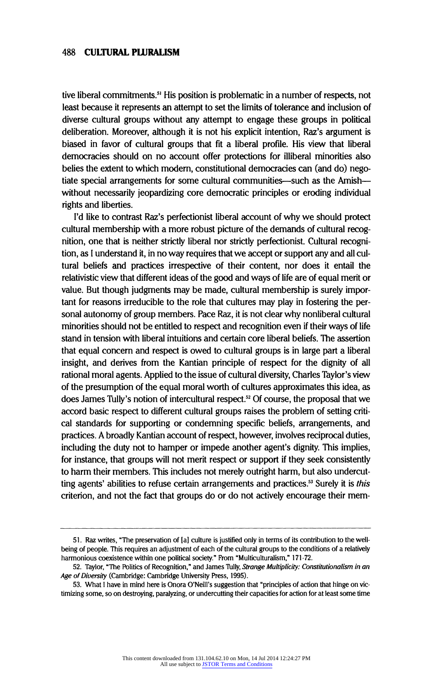**tive liberal commitments.5' His position is problematic in a number of respects, not least because it represents an attempt to set the limits of tolerance and inclusion of diverse cultural groups without any attempt to engage these groups in political deliberation. Moreover, although it is not his explicit intention, Raz's argument is biased in favor of cultural groups that fit a liberal profile. His view that liberal democracies should on no account offer protections for illiberal minorities also belies the extent to which modern, constitutional democracies can (and do) nego**tiate special arrangements for some cultural communities—such as the Amish **without necessarily jeopardizing core democratic principles or eroding individual rights and liberties.** 

**I'd like to contrast Raz's perfectionist liberal account of why we should protect cultural membership with a more robust picture of the demands of cultural recognition, one that is neither strictly liberal nor strictly perfectionist. Cultural recognition, as I understand it, in no way requires that we accept or support any and all cultural beliefs and practices irrespective of their content, nor does it entail the relativistic view that different ideas of the good and ways of life are of equal merit or value. But though judgments may be made, cultural membership is surely important for reasons irreducible to the role that cultures may play in fostering the personal autonomy of group members. Pace Raz, it is not clear why nonliberal cultural**  minorities should not be entitled to respect and recognition even if their ways of life **stand in tension with liberal intuitions and certain core liberal beliefs. The assertion that equal concern and respect is owed to cultural groups is in large part a liberal insight, and derives from the Kantian principle of respect for the dignity of all rational moral agents. Applied to the issue of cultural diversity, Charles Taylor's view of the presumption of the equal moral worth of cultures approximates this idea, as does James Tully's notion of intercultural respect.52 Of course, the proposal that we accord basic respect to different cultural groups raises the problem of setting critical standards for supporting or condemning specific beliefs, arrangements, and practices. A broadly Kantian account of respect, however, involves reciprocal duties, including the duty not to hamper or impede another agent's dignity. This implies, for instance, that groups will not merit respect or support if they seek consistently to harm their members. This includes not merely outright harm, but also undercutting agents' abilities to refuse certain arrangements and practices.53 Surely it is this criterion, and not the fact that groups do or do not actively encourage their mem-**

**<sup>51.</sup> Raz writes, "The preservation of la] culture is justified only in terms of its contribution to the wellbeing of people. This requires an adjustment of each of the cultural groups to the conditions of a relatively harmonious coexistence within one political society." From "Multiculturalism," 171-72.** 

**<sup>52.</sup> Taylor, "The Politics of Recognition," and James Tully, Strange Multiplicity: Constitutionalism in an Age of Diversity (Cambridge: Cambridge University Press, 1995).** 

**<sup>53.</sup> What I have in mind here is Onora O'Neill's suggestion that "principles of action that hinge on victimizing some, so on destroying, paralyzing, or undercutting their capacities for action for at least some time**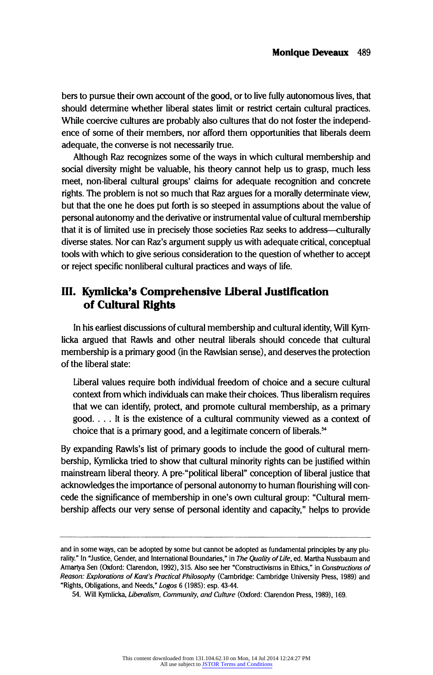**bers to pursue their own account of the good, or to live fully autonomous lives, that should determine whether liberal states limit or restrict certain cultural practices. While coercive cultures are probably also cultures that do not foster the independence of some of their members, nor afford them opportunities that liberals deem adequate, the converse is not necessarily true.** 

**Although Raz recognizes some of the ways in which cultural membership and social diversity might be valuable, his theory cannot help us to grasp, much less meet, non-liberal cultural groups' claims for adequate recognition and concrete rights. The problem is not so much that Raz argues for a morally determinate view, but that the one he does put forth is so steeped in assumptions about the value of personal autonomy and the derivative or instrumental value of cultural membership that it is of limited use in precisely those societies Raz seeks to address-culturally diverse states. Nor can Raz's argument supply us with adequate critical, conceptual tools with which to give serious consideration to the question of whether to accept or reject specific nonliberal cultural practices and ways of life.** 

# **III. Kymlicka's Comprehensive Liberal Justification of Cultural Rights**

**In his earliest discussions of cultural membership and cultural identity, Will Kymlicka argued that Rawls and other neutral liberals should concede that cultural membership is a primary good (in the Rawlsian sense), and deserves the protection of the liberal state:** 

**Liberal values require both individual freedom of choice and a secure cultural context from which individuals can make their choices. Thus liberalism requires that we can identify, protect, and promote cultural membership, as a primary good.... It is the existence of a cultural community viewed as a context of choice that is a primary good, and a legitimate concern of liberals.54** 

**By expanding Rawls's list of primary goods to include the good of cultural membership, Kymlicka tried to show that cultural minority rights can be justified within mainstream liberal theory. A pre-"political liberal" conception of liberal justice that acknowledges the importance of personal autonomy to human flourishing will concede the significance of membership in one's own cultural group: "Cultural membership affects our very sense of personal identity and capacity," helps to provide** 

**and in some ways, can be adopted by some but cannot be adopted as fundamental principles by any plurality." In "Justice, Gender, and International Boundaries," in The Quality of Life, ed. Martha Nussbaum and Amartya Sen (Oxford: Clarendon, 1992), 315. Also see her "Constructivisms in Ethics," in Constructions of Reason: Explorations of Kant's Practical Philosophy (Cambridge: Cambridge University Press, 1989) and "Rights, Obligations, and Needs," Logos 6 (1985): esp. 43-44.** 

**<sup>54.</sup> Will Kymlicka, Liberalism, Community, and Culture (Oxford: Clarendon Press, 1989), 169.**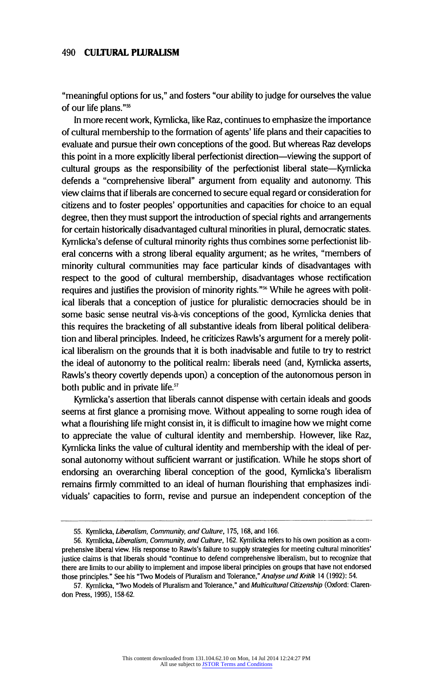**"meaningful options for us," and fosters "our ability to judge for ourselves the value of our life plans."5** 

**In more recent work, Kymlicka, like Raz, continues to emphasize the importance of cultural membership to the formation of agents' life plans and their capacities to evaluate and pursue their own conceptions of the good. But whereas Raz develops this point in a more explicitly liberal perfectionist direction-viewing the support of cultural groups as the responsibility of the perfectionist liberal state-Kymlicka defends a "comprehensive liberal" argument from equality and autonomy. This view claims that if liberals are concerned to secure equal regard or consideration for citizens and to foster peoples' opportunities and capacities for choice to an equal degree, then they must support the introduction of special rights and arrangements for certain historically disadvantaged cultural minorities in plural, democratic states. Kymlicka's defense of cultural minority rights thus combines some perfectionist liberal concerns with a strong liberal equality argument; as he writes, "members of minority cultural communities may face particular kinds of disadvantages with respect to the good of cultural membership, disadvantages whose rectification requires and justifies the provision of minority rights."56 While he agrees with political liberals that a conception of justice for pluralistic democracies should be in some basic sense neutral vis-a-vis conceptions of the good, Kymlicka denies that this requires the bracketing of all substantive ideals from liberal political deliberation and liberal principles. Indeed, he criticizes Rawls's argument for a merely political liberalism on the grounds that it is both inadvisable and futile to try to restrict**  the ideal of autonomy to the political realm: liberals need (and, Kymlicka asserts, **Rawls's theory covertly depends upon) a conception of the autonomous person in both public and in private life.57** 

**Kymlicka's assertion that liberals cannot dispense with certain ideals and goods seems at first glance a promising move. Without appealing to some rough idea of what a flourishing life might consist in, it is difficult to imagine how we might come to appreciate the value of cultural identity and membership. However, like Raz, Kymlicka links the value of cultural identity and membership with the ideal of personal autonomy without sufficient warrant or justification. While he stops short of endorsing an overarching liberal conception of the good, Kymlicka's liberalism remains firmly committed to an ideal of human flourishing that emphasizes individuals' capacities to form, revise and pursue an independent conception of the** 

**<sup>55.</sup> Kymlicka, Liberalism, Community, and Culture, 175, 168, and 166.** 

<sup>56.</sup> Kymlicka, Liberalism, Community, and Culture, 162. Kymlicka refers to his own position as a com**prehensive liberal view. His response to Rawls's failure to supply strategies for meeting cultural minorities' justice claims is that liberals should "continue to defend comprehensive liberalism, but to recognize that there are limits to our ability to implement and impose liberal principles on groups that have not endorsed those principles." See his "Two Models of Pluralism and Tolerance," Analyse und Kritik 14 (1992): 54.** 

**<sup>57.</sup> Kymlicka, "lvo Models of Pluralism and Tolerance," and Multicultural Citizenship (Oxford: Clarendon Press, 1995), 158-62.**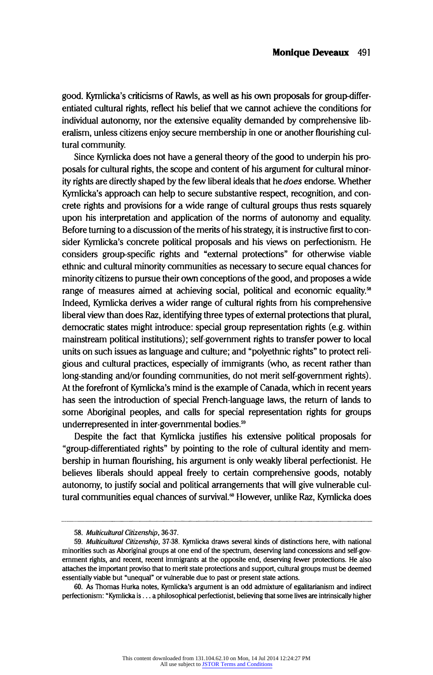**good. Kymlicka's criticisms of Rawls, as well as his own proposals for group-differentiated cultural rights, reflect his belief that we cannot achieve the conditions for individual autonomy, nor the extensive equality demanded by comprehensive liberalism, unless citizens enjoy secure membership in one or another flourishing cultural community.** 

**Since Kymlicka does not have a general theory of the good to underpin his proposals for cultural rights, the scope and content of his argument for cultural minority rights are directly shaped by the few liberal ideals that he does endorse. Whether Kymlicka's approach can help to secure substantive respect, recognition, and concrete rights and provisions for a wide range of cultural groups thus rests squarely upon his interpretation and application of the norms of autonomy and equality. Before turning to a discussion of the merits of his strategy, it is instructive first to consider Kymlicka's concrete political proposals and his views on perfectionism. He considers group-specific rights and "external protections" for otherwise viable ethnic and cultural minority communities as necessary to secure equal chances for minority citizens to pursue their own conceptions of the good, and proposes a wide**  range of measures aimed at achieving social, political and economic equality.<sup>58</sup> **Indeed, Kymlicka derives a wider range of cultural rights from his comprehensive liberal view than does Raz, identifying three types of external protections that plural, democratic states might introduce: special group representation rights (e.g. within mainstream political institutions); self-government rights to transfer power to local units on such issues as language and culture; and "polyethnic rights" to protect religious and cultural practices, especially of immigrants (who, as recent rather than long-standing and/or founding communities, do not merit self-government rights). At the forefront of Kymlicka's mind is the example of Canada, which in recent years has seen the introduction of special French-language laws, the return of lands to some Aboriginal peoples, and calls for special representation rights for groups underrepresented in inter-governmental bodies.59** 

**Despite the fact that Kymlicka justifies his extensive political proposals for "group-differentiated rights" by pointing to the role of cultural identity and membership in human flourishing, his argument is only weakly liberal perfectionist. He believes liberals should appeal freely to certain comprehensive goods, notably autonomy, to justify social and political arrangements that will give vulnerable cul**tural communities equal chances of survival.<sup>®</sup> However, unlike Raz, Kymlicka does

**<sup>58.</sup> Multicultural Citizenship, 36-37.** 

**<sup>59.</sup> Multicultural Citizenship, 37-38. Kymlicka draws several kinds of distinctions here, with national minorities such as Aboriginal groups at one end of the spectrum, deserving land concessions and self-government rights, and recent, recent immigrants at the opposite end, deserving fewer protections. He also attaches the important proviso that to merit state protections and support, cultural groups must be deemed essentially viable but "unequal" or vulnerable due to past or present state actions.** 

**<sup>60.</sup> As Thomas Hurka notes, Kymlicka's argument is an odd admixture of egalitarianism and indirect perfectionism: "Kymlicka is... a philosophical perfectionist, believing that some lives are intrinsically higher**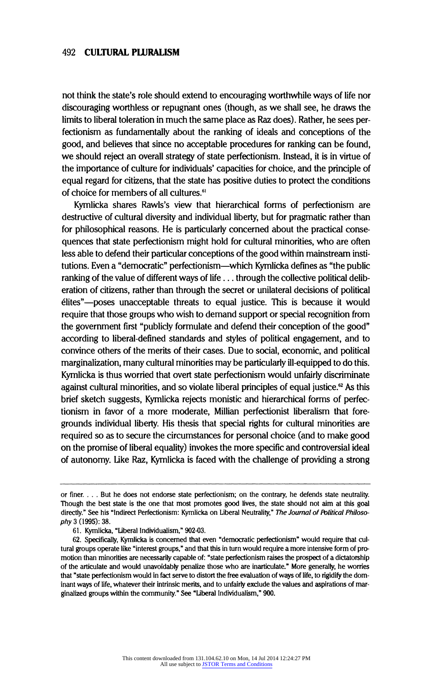**not think the state's role should extend to encouraging worthwhile ways of life nor discouraging worthless or repugnant ones (though, as we shall see, he draws the limits to liberal toleration in much the same place as Raz does). Rather, he sees perfectionism as fundamentally about the ranking of ideals and conceptions of the good, and believes that since no acceptable procedures for ranking can be found, we should reject an overall strategy of state perfectionism. Instead, it is in virtue of the importance of culture for individuals' capacities for choice, and the principle of equal regard for citizens, that the state has positive duties to protect the conditions of choice for members of all cultures.6'** 

**Kymlicka shares Rawls's view that hierarchical forms of perfectionism are destructive of cultural diversity and individual liberty, but for pragmatic rather than for philosophical reasons. He is particularly concerned about the practical consequences that state perfectionism might hold for cultural minorities, who are often less able to defend their particular conceptions of the good within mainstream institutions. Even a "democratic" perfectionism-which Kymlicka defines as "the public ranking of the value of different ways of life... through the collective political deliberation of citizens, rather than through the secret or unilateral decisions of political elites"-poses unacceptable threats to equal justice. This is because it would require that those groups who wish to demand support or special recognition from the government first "publicly formulate and defend their conception of the good" according to liberal-defined standards and styles of political engagement, and to convince others of the merits of their cases. Due to social, economic, and political marginalization, many cultural minorities may be particularly ill-equipped to do this. Kymlicka is thus worried that overt state perfectionism would unfairly discriminate**  against cultural minorities, and so violate liberal principles of equal justice.<sup>62</sup> As this **brief sketch suggests, Kymlicka rejects monistic and hierarchical forms of perfectionism in favor of a more moderate, Millian perfectionist liberalism that foregrounds individual liberty. His thesis that special rights for cultural minorities are required so as to secure the circumstances for personal choice (and to make good on the promise of liberal equality) invokes the more specific and controversial ideal of autonomy. Like Raz, Kymlicka is faced with the challenge of providing a strong** 

**or finer.... But he does not endorse state perfectionism; on the contrary, he defends state neutrality. Though the best state is the one that most promotes good lives, the state should not aim at this goal directly." See his "Indirect Perfectionism: Kymlicka on Liberal Neutrality," The Journal of Political Philosophy 3 (1995): 38.** 

**<sup>61.</sup> Kymlicka, "Liberal Individualism," 902-03.** 

**<sup>62.</sup> Specifically, Kymlicka is concered that even "democratic perfectionism" would require that cultural groups operate like "interest groups," and that this in turn would require a more intensive form of promotion than minorities are necessarily capable of: "state perfectionism raises the prospect of a dictatorship of the articulate and would unavoidably penalize those who are inarticulate." More generally, he worries**  that "state perfectionism would in fact serve to distort the free evaluation of ways of life, to rigidify the dom**inant ways of life, whatever their intrinsic merits, and to unfairly exclude the values and aspirations of marginalized groups within the community." See "Liberal Individualism," 900.**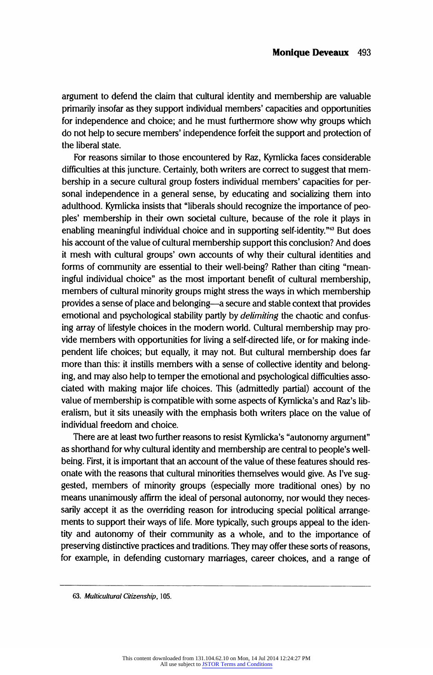**argument to defend the claim that cultural identity and membership are valuable primarily insofar as they support individual members' capacities and opportunities for independence and choice; and he must furthermore show why groups which do not help to secure members' independence forfeithe support and protection of the liberal state.** 

**For reasons similar to those encountered by Raz, Kymlicka faces considerable difficulties at this juncture. Certainly, both writers are correct to suggest that membership in a secure cultural group fosters individual members' capacities for personal independence in a general sense, by educating and socializing them into**  adulthood. Kymlicka insists that "liberals should recognize the importance of peo**ples' membership in their own societal culture, because of the role it plays in enabling meaningful individual choice and in supporting self-identity."6 But does his account of the value of cultural membership support this conclusion? And does it mesh with cultural groups' own accounts of why their cultural identities and forms of community are essential to their well-being? Rather than citing "meaningful individual choice" as the most important benefit of cultural membership, members of cultural minority groups might stress the ways in which membership provides a sense of place and belonging-a secure and stable context that provides emotional and psychological stability partly by delimiting the chaotic and confusing array of lifestyle choices in the modern world. Cultural membership may provide members with opportunities for living a self-directed life, or for making independent life choices; but equally, it may not. But cultural membership does far more than this: it instills members with a sense of collective identity and belonging, and may also help to temper the emotional and psychological difficulties associated with making major life choices. This (admittedly partial) account of the value of membership is compatible with some aspects of Kymlicka's and Raz's liberalism, but it sits uneasily with the emphasis both writers place on the value of individual freedom and choice.** 

There are at least two further reasons to resist Kymlicka's "autonomy argument" **as shorthand for why cultural identity and membership are central to people's wellbeing. First, it is important that an account of the value of these features should resonate with the reasons that cultural minorities themselves would give. As I've suggested, members of minority groups (especially more traditional ones) by no means unanimously affirm the ideal of personal autonomy, nor would they necessarily accept it as the overriding reason for introducing special political arrangements to support their ways of life. More typically, such groups appeal to the identity and autonomy of their community as a whole, and to the importance of preserving distinctive practices and traditions. They may offer these sorts of reasons, for example, in defending customary marriages, career choices, and a range of** 

**<sup>63.</sup> Multicultural Citizenship, 105.**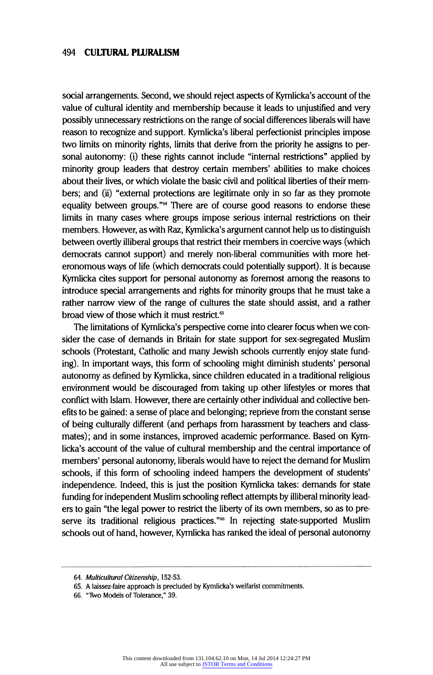**social arrangements. Second, we should reject aspects of Kymlicka's account of the value of cultural identity and membership because it leads to unjustified and very possibly unnecessary restrictions on the range of social differences liberals will have reason to recognize and support. Kymlicka's liberal perfectionist principles impose two limits on minority rights, limits that derive from the priority he assigns to personal autonomy: (i) these rights cannot include "internal restrictions" applied by minority group leaders that destroy certain members' abilities to make choices about their lives, or which violate the basic civil and political liberties of their members; and (ii) "external protections are legitimate only in so far as they promote equality between groups."6 There are of course good reasons to endorse these limits in many cases where groups impose serious internal restrictions on their members. However, as with Raz, Kymlicka's argument cannot help us to distinguish**  between overtly illiberal groups that restrict their members in coercive ways (which **democrats cannot support) and merely non-liberal communities with more heteronomous ways of life (which democrats could potentially support). It is because Kymlicka cites support for personal autonomy as foremost among the reasons to introduce special arrangements and rights for minority groups that he must take a rather narrow view of the range of cultures the state should assist, and a rather**  broad view of those which it must restrict.<sup>65</sup>

**The limitations of Kymlicka's perspective come into clearer focus when we consider the case of demands in Britain for state support for sex-segregated Muslim schools (Protestant, Catholic and many Jewish schools currently enjoy state funding). In important ways, this form of schooling might diminish students' personal autonomy as defined by Kymlicka, since children educated in a traditional religious environment would be discouraged from taking up other lifestyles or mores that conflict with Islam. However, there are certainly other individual and collective benefits to be gained: a sense of place and belonging; reprieve from the constant sense of being culturally different (and perhaps from harassment by teachers and classmates); and in some instances, improved academic performance. Based on Kymlicka's account of the value of cultural membership and the central importance of members' personal autonomy, liberals would have to reject the demand for Muslim schools, if this form of schooling indeed hampers the development of students' independence. Indeed, this is just the position Kymlicka takes: demands for state funding for independent Muslim schooling reflect attempts by illiberal minority lead**ers to gain "the legal power to restrict the liberty of its own members, so as to preserve its traditional religious practices."<sup>66</sup> In rejecting state-supported Muslim **schools out of hand, however, Kymlicka has ranked the ideal of personal autonomy** 

**<sup>64.</sup> Multicultural Citizenship, 152-53.** 

**<sup>65.</sup> A laissez-faire approach is precluded by Kymlicka's welfarist commitments.** 

**<sup>66. &</sup>quot;lWo Models of Tolerance," 39.**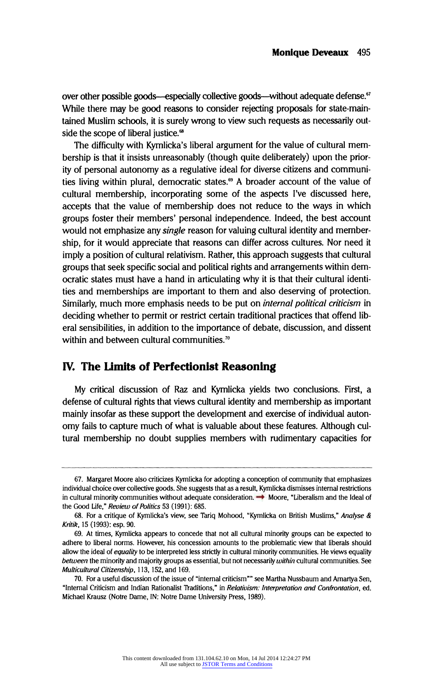**over other possible goods-especially collective goods-without adequate defense.67 While there may be good reasons to consider rejecting proposals for state-maintained Muslim schools, it is surely wrong to view such requests as necessarily outside the scope of liberal justice.8** 

**The difficulty with Kymlicka's liberal argument for the value of cultural membership is that it insists unreasonably (though quite deliberately) upon the priority of personal autonomy as a regulative ideal for diverse citizens and communi**ties living within plural, democratic states.<sup>69</sup> A broader account of the value of **cultural membership, incorporating some of the aspects I've discussed here, accepts that the value of membership does not reduce to the ways in which groups foster their members' personal independence. Indeed, the best account would not emphasize any single reason for valuing cultural identity and membership, for it would appreciate that reasons can differ across cultures. Nor need it imply a position of cultural relativism. Rather, this approach suggests that cultural groups that seek specific social and political rights and arrangements within democratic states must have a hand in articulating why it is that their cultural identities and memberships are important to them and also deserving of protection. Similarly, much more emphasis needs to be put on internal political criticism in deciding whether to permit or restrict certain traditional practices that offend liberal sensibilities, in addition to the importance of debate, discussion, and dissent within and between cultural communities.70** 

# **IV. The Limits of Perfectionist Reasoning**

**My critical discussion of Raz and Kymlicka yields two conclusions. First, a defense of cultural rights that views cultural identity and membership as important mainly insofar as these support the development and exercise of individual autonomy fails to capture much of what is valuable about these features. Although cultural membership no doubt supplies members with rudimentary capacities for** 

**<sup>67.</sup> Margaret Moore also criticizes Kymlicka for adopting a conception of community that emphasizes individual choice over collective goods. She suggests that as a result, Kymlicka dismisses internal restrictions**  in cultural minority communities without adequate consideration.  $\rightarrow$  Moore, "Liberalism and the Ideal of **the Good Life," Review of Politics 53 (1991): 685.** 

**<sup>68.</sup> For a critique of Kymlicka's view, see Tariq Mohood, "Kymlicka on British Muslims," Analyse & Kritik, 15 (1993): esp. 90.** 

<sup>69.</sup> At times, Kymlicka appears to concede that not all cultural minority groups can be expected to **adhere to liberal norms. However, his concession amounts to the problematic view that liberals should allow the ideal of equality to be interpreted less strictly in cultural minority communities. He views equality between the minority and majority groups as essential, but not necessarily within cultural communities. See Multicultural Citizenship, 113, 152, and 169.** 

**<sup>70.</sup> For a useful discussion of the issue of "internal criticism"" see Martha Nussbaum and Amartya Sen, "Internal Criticism and Indian Rationalist Traditions," in Relativism: Interpretation and Confrontation, ed. Michael Krausz (Notre Dame, IN: Notre Dame University Press, 1989).**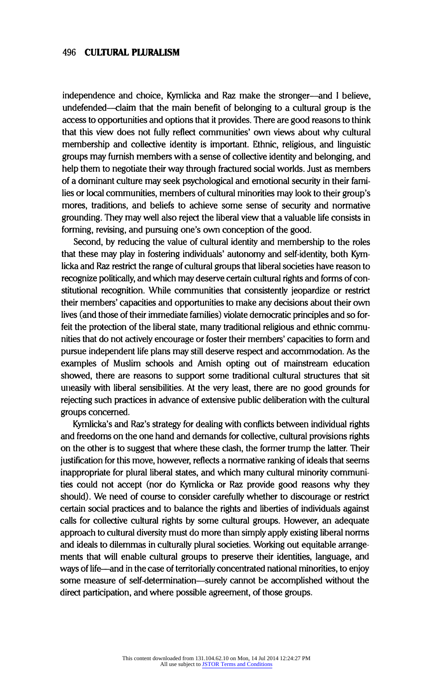**independence and choice, Kymlicka and Raz make the stronger-and I believe, undefended-claim that the main benefit of belonging to a cultural group is the access to opportunities and options that it provides. There are good reasons to think that this view does not fully reflect communities' own views about why cultural membership and collective identity is important. Ethnic, religious, and linguistic groups may furnish members with a sense of collective identity and belonging, and help them to negotiate their way through fractured social worlds. Just as members of a dominant culture may seek psychological and emotional security in their families or local communities, members of cultural minorities may look to their group's mores, traditions, and beliefs to achieve some sense of security and normative grounding. They may well also reject the liberal view that a valuable life consists in forming, revising, and pursuing one's own conception of the good.** 

**Second, by reducing the value of cultural identity and membership to the roles that these may play in fostering individuals' autonomy and self-identity, both Kymlicka and Raz restrict the range of cultural groups that liberal societies have reason to recognize politically, and which may deserve certain cultural rights and forms of constitutional recognition. While communities that consistently jeopardize or restrict their members' capacities and opportunities to make any decisions about their own lives (and those of their immediate families) violate democratic principles and so forfeit the protection of the liberal state, many traditional religious and ethnic communities that do not actively encourage or foster their members' capacities to form and pursue independent life plans may still deserve respect and accommodation. As the examples of Muslim schools and Amish opting out of mainstream education showed, there are reasons to support some traditional cultural structures that sit uneasily with liberal sensibilities. At the very least, there are no good grounds for rejecting such practices in advance of extensive public deliberation with the cultural groups concerned.** 

**Kymlicka's and Raz's strategy for dealing with conflicts between individual rights and freedoms on the one hand and demands for collective, cultural provisions rights on the other is to suggest that where these clash, the former trump the latter. Their justification for this move, however, reflects a normative ranking of ideals that seems inappropriate for plural liberal states, and which many cultural minority communities could not accept (nor do Kymlicka or Raz provide good reasons why they should). We need of course to consider carefully whether to discourage or restrict certain social practices and to balance the rights and liberties of individuals against calls for collective cultural rights by some cultural groups. However, an adequate approach to cultural diversity must do more than simply apply existing liberal norms and ideals to dilemmas in culturally plural societies. Working out equitable arrangements that will enable cultural groups to preserve their identities, language, and ways of life-and in the case of territorially concentrated national minorities, to enjoy some measure of self-determination-surely cannot be accomplished without the direct participation, and where possible agreement, of those groups.**